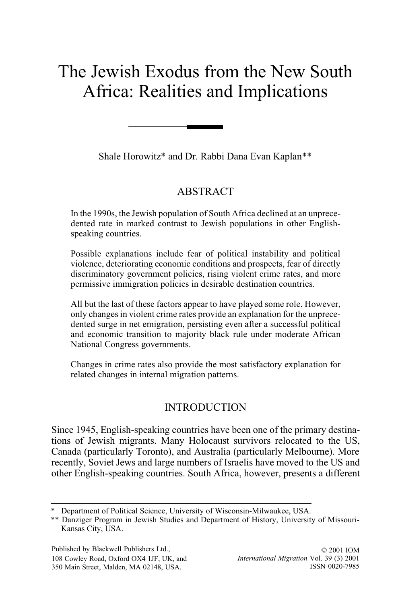# The Jewish Exodus from the New South Africa: Realities and Implications

Shale Horowitz\* and Dr. Rabbi Dana Evan Kaplan\*\*

# ABSTRACT

In the 1990s, the Jewish population of South Africa declined at an unprecedented rate in marked contrast to Jewish populations in other Englishspeaking countries.

Possible explanations include fear of political instability and political violence, deteriorating economic conditions and prospects, fear of directly discriminatory government policies, rising violent crime rates, and more permissive immigration policies in desirable destination countries.

All but the last of these factors appear to have played some role. However, only changes in violent crime rates provide an explanation for the unprecedented surge in net emigration, persisting even after a successful political and economic transition to majority black rule under moderate African National Congress governments.

Changes in crime rates also provide the most satisfactory explanation for related changes in internal migration patterns.

# INTRODUCTION

Since 1945, English-speaking countries have been one of the primary destinations of Jewish migrants. Many Holocaust survivors relocated to the US, Canada (particularly Toronto), and Australia (particularly Melbourne). More recently, Soviet Jews and large numbers of Israelis have moved to the US and other English-speaking countries. South Africa, however, presents a different

<sup>\*</sup> Department of Political Science, University of Wisconsin-Milwaukee, USA.

<sup>\*\*</sup> Danziger Program in Jewish Studies and Department of History, University of Missouri-Kansas City, USA.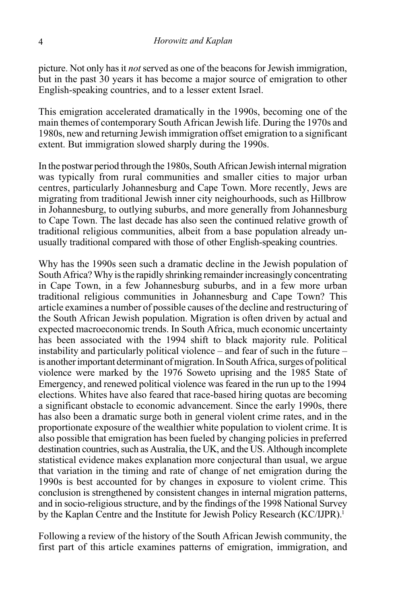picture. Not only has it not served as one of the beacons for Jewish immigration, but in the past 30 years it has become a major source of emigration to other English-speaking countries, and to a lesser extent Israel.

This emigration accelerated dramatically in the 1990s, becoming one of the main themes of contemporary South African Jewish life. During the 1970s and 1980s, new and returning Jewish immigration offset emigration to a significant extent. But immigration slowed sharply during the 1990s.

In the postwar period through the 1980s, South African Jewish internal migration was typically from rural communities and smaller cities to major urban centres, particularly Johannesburg and Cape Town. More recently, Jews are migrating from traditional Jewish inner city neighourhoods, such as Hillbrow in Johannesburg, to outlying suburbs, and more generally from Johannesburg to Cape Town. The last decade has also seen the continued relative growth of traditional religious communities, albeit from a base population already unusually traditional compared with those of other English-speaking countries.

Why has the 1990s seen such a dramatic decline in the Jewish population of South Africa? Why is the rapidly shrinking remainder increasingly concentrating in Cape Town, in a few Johannesburg suburbs, and in a few more urban traditional religious communities in Johannesburg and Cape Town? This article examines a number of possible causes of the decline and restructuring of the South African Jewish population. Migration is often driven by actual and expected macroeconomic trends. In South Africa, much economic uncertainty has been associated with the 1994 shift to black majority rule. Political instability and particularly political violence  $-$  and fear of such in the future  $$ is another important determinant of migration. In South Africa, surges of political violence were marked by the 1976 Soweto uprising and the 1985 State of Emergency, and renewed political violence was feared in the run up to the 1994 elections. Whites have also feared that race-based hiring quotas are becoming a significant obstacle to economic advancement. Since the early 1990s, there has also been a dramatic surge both in general violent crime rates, and in the proportionate exposure of the wealthier white population to violent crime. It is also possible that emigration has been fueled by changing policies in preferred destination countries, such as Australia, the UK, and the US. Although incomplete statistical evidence makes explanation more conjectural than usual, we argue that variation in the timing and rate of change of net emigration during the 1990s is best accounted for by changes in exposure to violent crime. This conclusion is strengthened by consistent changes in internal migration patterns, and in socio-religious structure, and by the findings of the 1998 National Survey by the Kaplan Centre and the Institute for Jewish Policy Research (KC/IJPR).<sup>1</sup>

Following a review of the history of the South African Jewish community, the first part of this article examines patterns of emigration, immigration, and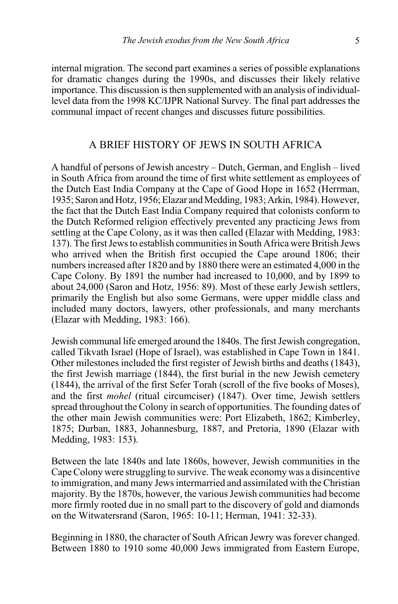internal migration. The second part examines a series of possible explanations for dramatic changes during the 1990s, and discusses their likely relative importance. This discussion is then supplemented with an analysis of individuallevel data from the 1998 KC/IJPR National Survey. The final part addresses the communal impact of recent changes and discusses future possibilities.

# A BRIEF HISTORY OF JEWS IN SOUTH AFRICA

A handful of persons of Jewish ancestry – Dutch, German, and English – lived in South Africa from around the time of first white settlement as employees of the Dutch East India Company at the Cape of Good Hope in 1652 (Herrman, 1935; Saron and Hotz, 1956; Elazar and Medding, 1983; Arkin, 1984). However, the fact that the Dutch East India Company required that colonists conform to the Dutch Reformed religion effectively prevented any practicing Jews from settling at the Cape Colony, as it was then called (Elazar with Medding, 1983: 137). The first Jews to establish communities in South Africa were British Jews who arrived when the British first occupied the Cape around 1806; their numbers increased after 1820 and by 1880 there were an estimated 4,000 in the Cape Colony. By 1891 the number had increased to 10,000, and by 1899 to about 24,000 (Saron and Hotz, 1956: 89). Most of these early Jewish settlers, primarily the English but also some Germans, were upper middle class and included many doctors, lawyers, other professionals, and many merchants (Elazar with Medding, 1983: 166).

Jewish communal life emerged around the 1840s. The first Jewish congregation, called Tikvath Israel (Hope of Israel), was established in Cape Town in 1841. Other milestones included the first register of Jewish births and deaths (1843), the first Jewish marriage (1844), the first burial in the new Jewish cemetery (1844), the arrival of the first Sefer Torah (scroll of the five books of Moses), and the first mohel (ritual circumciser) (1847). Over time, Jewish settlers spread throughout the Colony in search of opportunities. The founding dates of the other main Jewish communities were: Port Elizabeth, 1862; Kimberley, 1875; Durban, 1883, Johannesburg, 1887, and Pretoria, 1890 (Elazar with Medding, 1983: 153).

Between the late 1840s and late 1860s, however, Jewish communities in the Cape Colony were struggling to survive. The weak economy was a disincentive to immigration, and many Jews intermarried and assimilated with the Christian majority. By the 1870s, however, the various Jewish communities had become more firmly rooted due in no small part to the discovery of gold and diamonds on the Witwatersrand (Saron, 1965: 10-11; Herman, 1941: 32-33).

Beginning in 1880, the character of South African Jewry was forever changed. Between 1880 to 1910 some 40,000 Jews immigrated from Eastern Europe,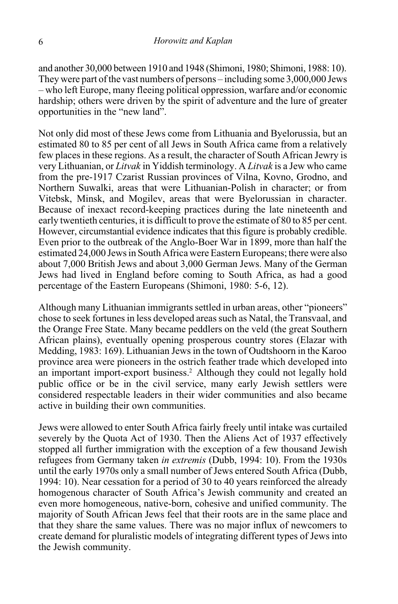and another 30,000 between 1910 and 1948 (Shimoni, 1980; Shimoni, 1988: 10). They were part of the vast numbers of persons  $-$  including some 3,000,000 Jews who left Europe, many fleeing political oppression, warfare and/or economic hardship; others were driven by the spirit of adventure and the lure of greater opportunities in the "new land".

Not only did most of these Jews come from Lithuania and Byelorussia, but an estimated 80 to 85 per cent of all Jews in South Africa came from a relatively few places in these regions. As a result, the character of South African Jewry is very Lithuanian, or Litvak in Yiddish terminology. A Litvak is a Jew who came from the pre-1917 Czarist Russian provinces of Vilna, Kovno, Grodno, and Northern Suwalki, areas that were Lithuanian-Polish in character; or from Vitebsk, Minsk, and Mogilev, areas that were Byelorussian in character. Because of inexact record-keeping practices during the late nineteenth and early twentieth centuries, it is difficult to prove the estimate of 80 to 85 per cent. However, circumstantial evidence indicates that this figure is probably credible. Even prior to the outbreak of the Anglo-Boer War in 1899, more than half the estimated 24,000 Jews in South Africa were Eastern Europeans; there were also about 7,000 British Jews and about 3,000 German Jews. Many of the German Jews had lived in England before coming to South Africa, as had a good percentage of the Eastern Europeans (Shimoni, 1980: 5-6, 12).

Although many Lithuanian immigrants settled in urban areas, other "pioneers" chose to seek fortunes in less developed areas such as Natal, the Transvaal, and the Orange Free State. Many became peddlers on the veld (the great Southern African plains), eventually opening prosperous country stores (Elazar with Medding, 1983: 169). Lithuanian Jews in the town of Oudtshoorn in the Karoo province area were pioneers in the ostrich feather trade which developed into an important import-export business.<sup>2</sup> Although they could not legally hold public office or be in the civil service, many early Jewish settlers were considered respectable leaders in their wider communities and also became active in building their own communities.

Jews were allowed to enter South Africa fairly freely until intake was curtailed severely by the Quota Act of 1930. Then the Aliens Act of 1937 effectively stopped all further immigration with the exception of a few thousand Jewish refugees from Germany taken in extremis (Dubb, 1994: 10). From the 1930s until the early 1970s only a small number of Jews entered South Africa (Dubb, 1994: 10). Near cessation for a period of 30 to 40 years reinforced the already homogenous character of South Africa's Jewish community and created an even more homogeneous, native-born, cohesive and unified community. The majority of South African Jews feel that their roots are in the same place and that they share the same values. There was no major influx of newcomers to create demand for pluralistic models of integrating different types of Jews into the Jewish community.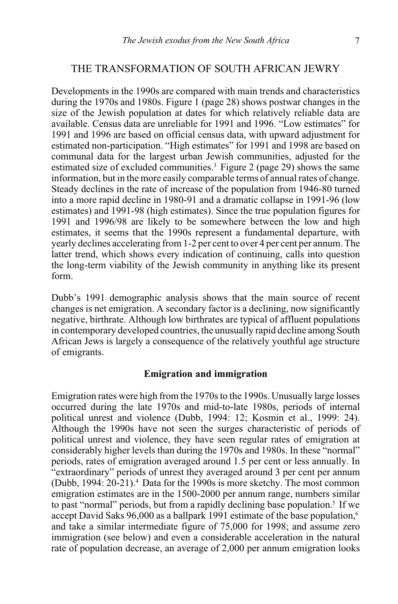# THE TRANSFORMATION OF SOUTH AFRICAN JEWRY

Developments in the 1990s are compared with main trends and characteristics during the 1970s and 1980s. Figure 1 (page 28) shows postwar changes in the size of the Jewish population at dates for which relatively reliable data are available. Census data are unreliable for 1991 and 1996. "Low estimates" for 1991 and 1996 are based on official census data, with upward adjustment for estimated non-participation. "High estimates" for 1991 and 1998 are based on communal data for the largest urban Jewish communities, adjusted for the estimated size of excluded communities.<sup>3</sup> Figure 2 (page 29) shows the same information, but in the more easily comparable terms of annual rates of change. Steady declines in the rate of increase of the population from 1946-80 turned into a more rapid decline in 1980-91 and a dramatic collapse in 1991-96 (low estimates) and 1991-98 (high estimates). Since the true population figures for 1991 and 1996/98 are likely to be somewhere between the low and high estimates, it seems that the 1990s represent a fundamental departure, with yearly declines accelerating from 1-2 per cent to over 4 per cent per annum. The latter trend, which shows every indication of continuing, calls into question the long-term viability of the Jewish community in anything like its present form.

Dubb's 1991 demographic analysis shows that the main source of recent changes is net emigration. A secondary factor is a declining, now significantly negative, birthrate. Although low birthrates are typical of affluent populations in contemporary developed countries, the unusually rapid decline among South African Jews is largely a consequence of the relatively youthful age structure of emigrants.

#### Emigration and immigration

Emigration rates were high from the 1970s to the 1990s. Unusually large losses occurred during the late 1970s and mid-to-late 1980s, periods of internal political unrest and violence (Dubb, 1994: 12; Kosmin et al., 1999: 24). Although the 1990s have not seen the surges characteristic of periods of political unrest and violence, they have seen regular rates of emigration at considerably higher levels than during the 1970s and 1980s. In these "normal" periods, rates of emigration averaged around 1.5 per cent or less annually. In "extraordinary" periods of unrest they averaged around 3 per cent per annum (Dubb, 1994: 20-21).4 Data for the 1990s is more sketchy. The most common emigration estimates are in the 1500-2000 per annum range, numbers similar to past "normal" periods, but from a rapidly declining base population.<sup>5</sup> If we accept David Saks 96,000 as a ballpark 1991 estimate of the base population,<sup>6</sup> and take a similar intermediate figure of 75,000 for 1998; and assume zero immigration (see below) and even a considerable acceleration in the natural rate of population decrease, an average of 2,000 per annum emigration looks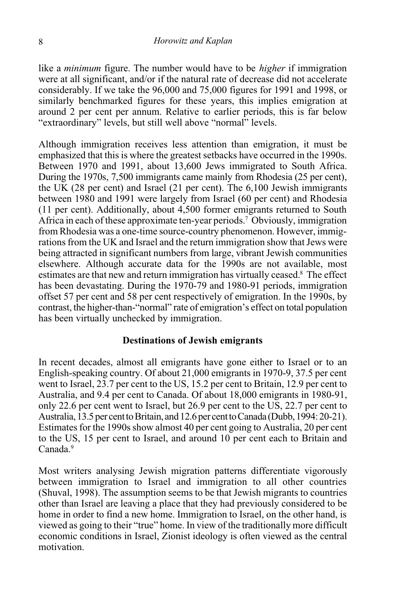like a *minimum* figure. The number would have to be *higher* if immigration were at all significant, and/or if the natural rate of decrease did not accelerate considerably. If we take the 96,000 and 75,000 figures for 1991 and 1998, or similarly benchmarked figures for these years, this implies emigration at around 2 per cent per annum. Relative to earlier periods, this is far below "extraordinary" levels, but still well above "normal" levels.

Although immigration receives less attention than emigration, it must be emphasized that this is where the greatest setbacks have occurred in the 1990s. Between 1970 and 1991, about 13,600 Jews immigrated to South Africa. During the 1970s, 7,500 immigrants came mainly from Rhodesia (25 per cent), the UK (28 per cent) and Israel (21 per cent). The 6,100 Jewish immigrants between 1980 and 1991 were largely from Israel (60 per cent) and Rhodesia (11 per cent). Additionally, about 4,500 former emigrants returned to South Africa in each of these approximate ten-year periods.7 Obviously, immigration from Rhodesia was a one-time source-country phenomenon. However, immigrations from the UK and Israel and the return immigration show that Jews were being attracted in significant numbers from large, vibrant Jewish communities elsewhere. Although accurate data for the 1990s are not available, most estimates are that new and return immigration has virtually ceased.<sup>8</sup> The effect has been devastating. During the 1970-79 and 1980-91 periods, immigration offset 57 per cent and 58 per cent respectively of emigration. In the 1990s, by contrast, the higher-than-"normal" rate of emigration's effect on total population has been virtually unchecked by immigration.

#### Destinations of Jewish emigrants

In recent decades, almost all emigrants have gone either to Israel or to an English-speaking country. Of about 21,000 emigrants in 1970-9, 37.5 per cent went to Israel, 23.7 per cent to the US, 15.2 per cent to Britain, 12.9 per cent to Australia, and 9.4 per cent to Canada. Of about 18,000 emigrants in 1980-91, only 22.6 per cent went to Israel, but 26.9 per cent to the US, 22.7 per cent to Australia, 13.5 per cent to Britain, and 12.6 per cent to Canada (Dubb, 1994: 20-21). Estimates for the 1990s show almost 40 per cent going to Australia, 20 per cent to the US, 15 per cent to Israel, and around 10 per cent each to Britain and Canada.9

Most writers analysing Jewish migration patterns differentiate vigorously between immigration to Israel and immigration to all other countries (Shuval, 1998). The assumption seems to be that Jewish migrants to countries other than Israel are leaving a place that they had previously considered to be home in order to find a new home. Immigration to Israel, on the other hand, is viewed as going to their "true" home. In view of the traditionally more difficult economic conditions in Israel, Zionist ideology is often viewed as the central motivation.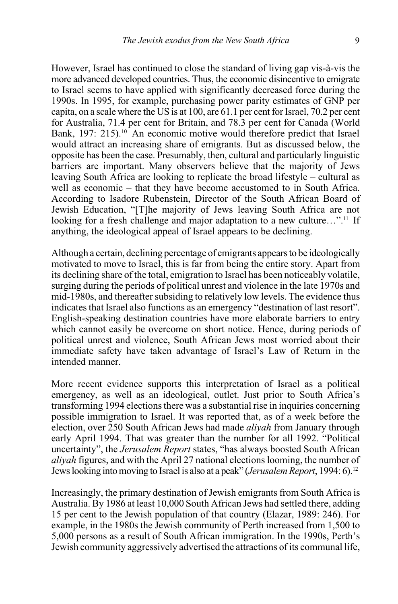However, Israel has continued to close the standard of living gap vis-à-vis the more advanced developed countries. Thus, the economic disincentive to emigrate to Israel seems to have applied with significantly decreased force during the 1990s. In 1995, for example, purchasing power parity estimates of GNP per capita, on a scale where the US is at 100, are 61.1 per cent for Israel, 70.2 per cent for Australia, 71.4 per cent for Britain, and 78.3 per cent for Canada (World Bank, 197: 215).<sup>10</sup> An economic motive would therefore predict that Israel would attract an increasing share of emigrants. But as discussed below, the opposite has been the case. Presumably, then, cultural and particularly linguistic barriers are important. Many observers believe that the majority of Jews leaving South Africa are looking to replicate the broad lifestyle – cultural as well as economic – that they have become accustomed to in South Africa. According to Isadore Rubenstein, Director of the South African Board of Jewish Education, "[T]he majority of Jews leaving South Africa are not looking for a fresh challenge and major adaptation to a new culture...".<sup>11</sup> If anything, the ideological appeal of Israel appears to be declining.

Although a certain, declining percentage of emigrants appears to be ideologically motivated to move to Israel, this is far from being the entire story. Apart from its declining share of the total, emigration to Israel has been noticeably volatile, surging during the periods of political unrest and violence in the late 1970s and mid-1980s, and thereafter subsiding to relatively low levels. The evidence thus indicates that Israel also functions as an emergency "destination of last resort". English-speaking destination countries have more elaborate barriers to entry which cannot easily be overcome on short notice. Hence, during periods of political unrest and violence, South African Jews most worried about their immediate safety have taken advantage of Israel's Law of Return in the intended manner.

More recent evidence supports this interpretation of Israel as a political emergency, as well as an ideological, outlet. Just prior to South Africa's transforming 1994 elections there was a substantial rise in inquiries concerning possible immigration to Israel. It was reported that, as of a week before the election, over 250 South African Jews had made aliyah from January through early April 1994. That was greater than the number for all 1992. "Political uncertainty", the Jerusalem Report states, "has always boosted South African aliyah figures, and with the April 27 national elections looming, the number of Jews looking into moving to Israel is also at a peak" (Jerusalem Report, 1994: 6).<sup>12</sup>

Increasingly, the primary destination of Jewish emigrants from South Africa is Australia. By 1986 at least 10,000 South African Jews had settled there, adding 15 per cent to the Jewish population of that country (Elazar, 1989: 246). For example, in the 1980s the Jewish community of Perth increased from 1,500 to 5,000 persons as a result of South African immigration. In the 1990s, Perth's Jewish community aggressively advertised the attractions of its communal life,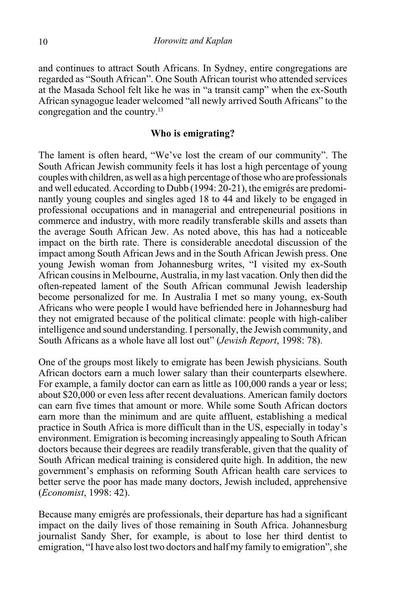and continues to attract South Africans. In Sydney, entire congregations are regarded as "South African". One South African tourist who attended services at the Masada School felt like he was in "a transit camp" when the ex-South African synagogue leader welcomed "all newly arrived South Africans" to the congregation and the country.13

### Who is emigrating?

The lament is often heard, "We've lost the cream of our community". The South African Jewish community feels it has lost a high percentage of young couples with children, as well as a high percentage of those who are professionals and well educated. According to Dubb (1994: 20-21), the emigrés are predominantly young couples and singles aged 18 to 44 and likely to be engaged in professional occupations and in managerial and entrepeneurial positions in commerce and industry, with more readily transferable skills and assets than the average South African Jew. As noted above, this has had a noticeable impact on the birth rate. There is considerable anecdotal discussion of the impact among South African Jews and in the South African Jewish press. One young Jewish woman from Johannesburg writes, "I visited my ex-South African cousins in Melbourne, Australia, in my last vacation. Only then did the often-repeated lament of the South African communal Jewish leadership become personalized for me. In Australia I met so many young, ex-South Africans who were people I would have befriended here in Johannesburg had they not emigrated because of the political climate: people with high-caliber intelligence and sound understanding. I personally, the Jewish community, and South Africans as a whole have all lost out" (Jewish Report, 1998: 78).

One of the groups most likely to emigrate has been Jewish physicians. South African doctors earn a much lower salary than their counterparts elsewhere. For example, a family doctor can earn as little as 100,000 rands a year or less; about \$20,000 or even less after recent devaluations. American family doctors can earn five times that amount or more. While some South African doctors earn more than the minimum and are quite affluent, establishing a medical practice in South Africa is more difficult than in the US, especially in today's environment. Emigration is becoming increasingly appealing to South African doctors because their degrees are readily transferable, given that the quality of South African medical training is considered quite high. In addition, the new government's emphasis on reforming South African health care services to better serve the poor has made many doctors, Jewish included, apprehensive (Economist, 1998: 42).

Because many emigrés are professionals, their departure has had a significant impact on the daily lives of those remaining in South Africa. Johannesburg journalist Sandy Sher, for example, is about to lose her third dentist to emigration, "I have also lost two doctors and half my family to emigration", she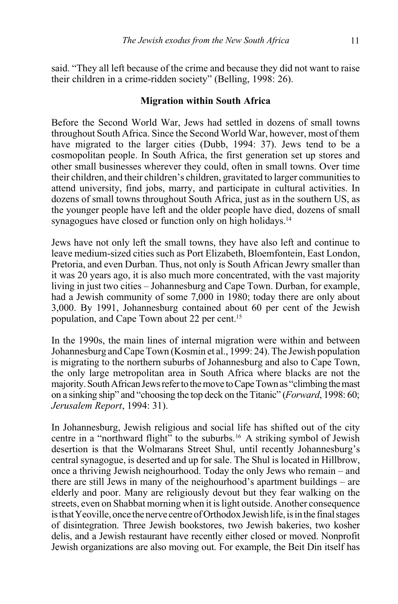said. "They all left because of the crime and because they did not want to raise their children in a crime-ridden society" (Belling, 1998: 26).

## Migration within South Africa

Before the Second World War, Jews had settled in dozens of small towns throughout South Africa. Since the Second World War, however, most of them have migrated to the larger cities (Dubb, 1994: 37). Jews tend to be a cosmopolitan people. In South Africa, the first generation set up stores and other small businesses wherever they could, often in small towns. Over time their children, and their children's children, gravitated to larger communities to attend university, find jobs, marry, and participate in cultural activities. In dozens of small towns throughout South Africa, just as in the southern US, as the younger people have left and the older people have died, dozens of small synagogues have closed or function only on high holidays.<sup>14</sup>

Jews have not only left the small towns, they have also left and continue to leave medium-sized cities such as Port Elizabeth, Bloemfontein, East London, Pretoria, and even Durban. Thus, not only is South African Jewry smaller than it was 20 years ago, it is also much more concentrated, with the vast majority living in just two cities – Johannesburg and Cape Town. Durban, for example, had a Jewish community of some 7,000 in 1980; today there are only about 3,000. By 1991, Johannesburg contained about 60 per cent of the Jewish population, and Cape Town about 22 per cent.15

In the 1990s, the main lines of internal migration were within and between Johannesburg and Cape Town (Kosmin et al., 1999: 24). The Jewish population is migrating to the northern suburbs of Johannesburg and also to Cape Town, the only large metropolitan area in South Africa where blacks are not the majority. South African Jews refer to the move to Cape Town as "climbing the mast" on a sinking ship" and "choosing the top deck on the Titanic" (Forward, 1998: 60; Jerusalem Report, 1994: 31).

In Johannesburg, Jewish religious and social life has shifted out of the city centre in a "northward flight" to the suburbs.<sup>16</sup> A striking symbol of Jewish desertion is that the Wolmarans Street Shul, until recently Johannesburg's central synagogue, is deserted and up for sale. The Shul is located in Hillbrow, once a thriving Jewish neighourhood. Today the only Jews who remain  $-$  and there are still Jews in many of the neighourhood's apartment buildings  $-$  are elderly and poor. Many are religiously devout but they fear walking on the streets, even on Shabbat morning when it is light outside. Another consequence is that Yeoville, once the nerve centre of Orthodox Jewish life, is in the final stages of disintegration. Three Jewish bookstores, two Jewish bakeries, two kosher delis, and a Jewish restaurant have recently either closed or moved. Nonprofit Jewish organizations are also moving out. For example, the Beit Din itself has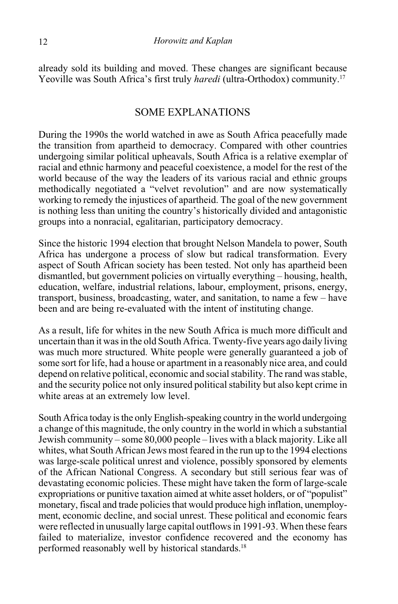already sold its building and moved. These changes are significant because Yeoville was South Africa's first truly *haredi* (ultra-Orthodox) community.<sup>17</sup>

# SOME EXPLANATIONS

During the 1990s the world watched in awe as South Africa peacefully made the transition from apartheid to democracy. Compared with other countries undergoing similar political upheavals, South Africa is a relative exemplar of racial and ethnic harmony and peaceful coexistence, a model for the rest of the world because of the way the leaders of its various racial and ethnic groups methodically negotiated a "velvet revolution" and are now systematically working to remedy the injustices of apartheid. The goal of the new government is nothing less than uniting the country's historically divided and antagonistic groups into a nonracial, egalitarian, participatory democracy.

Since the historic 1994 election that brought Nelson Mandela to power, South Africa has undergone a process of slow but radical transformation. Every aspect of South African society has been tested. Not only has apartheid been dismantled, but government policies on virtually everything – housing, health, education, welfare, industrial relations, labour, employment, prisons, energy, transport, business, broadcasting, water, and sanitation, to name a few - have been and are being re-evaluated with the intent of instituting change.

As a result, life for whites in the new South Africa is much more difficult and uncertain than it was in the old South Africa. Twenty-five years ago daily living was much more structured. White people were generally guaranteed a job of some sort for life, had a house or apartment in a reasonably nice area, and could depend on relative political, economic and social stability. The rand was stable, and the security police not only insured political stability but also kept crime in white areas at an extremely low level.

South Africa today is the only English-speaking country in the world undergoing a change of this magnitude, the only country in the world in which a substantial Jewish community – some  $80,000$  people – lives with a black majority. Like all whites, what South African Jews most feared in the run up to the 1994 elections was large-scale political unrest and violence, possibly sponsored by elements of the African National Congress. A secondary but still serious fear was of devastating economic policies. These might have taken the form of large-scale expropriations or punitive taxation aimed at white asset holders, or of "populist" monetary, fiscal and trade policies that would produce high inflation, unemployment, economic decline, and social unrest. These political and economic fears were reflected in unusually large capital outflows in 1991-93. When these fears failed to materialize, investor confidence recovered and the economy has performed reasonably well by historical standards.<sup>18</sup>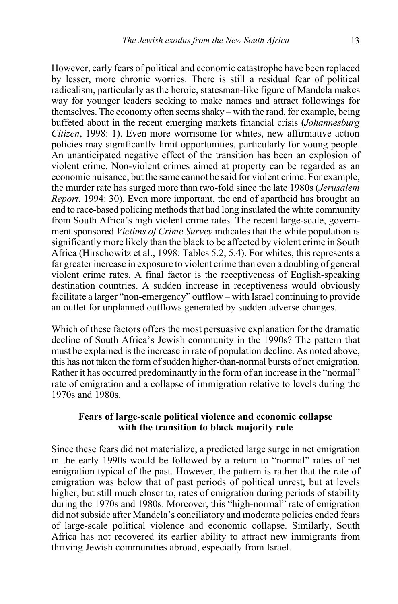However, early fears of political and economic catastrophe have been replaced by lesser, more chronic worries. There is still a residual fear of political radicalism, particularly as the heroic, statesman-like figure of Mandela makes way for younger leaders seeking to make names and attract followings for themselves. The economy often seems shaky  $-\text{with the rand, for example, being}$ buffeted about in the recent emerging markets financial crisis (Johannesburg Citizen, 1998: 1). Even more worrisome for whites, new affirmative action policies may significantly limit opportunities, particularly for young people. An unanticipated negative effect of the transition has been an explosion of violent crime. Non-violent crimes aimed at property can be regarded as an economic nuisance, but the same cannot be said for violent crime. For example, the murder rate has surged more than two-fold since the late 1980s (Jerusalem Report, 1994: 30). Even more important, the end of apartheid has brought an end to race-based policing methods that had long insulated the white community from South Africa's high violent crime rates. The recent large-scale, government sponsored Victims of Crime Survey indicates that the white population is significantly more likely than the black to be affected by violent crime in South Africa (Hirschowitz et al., 1998: Tables 5.2, 5.4). For whites, this represents a far greater increase in exposure to violent crime than even a doubling of general violent crime rates. A final factor is the receptiveness of English-speaking destination countries. A sudden increase in receptiveness would obviously facilitate a larger "non-emergency" outflow - with Israel continuing to provide an outlet for unplanned outflows generated by sudden adverse changes.

Which of these factors offers the most persuasive explanation for the dramatic decline of South Africa's Jewish community in the 1990s? The pattern that must be explained is the increase in rate of population decline. As noted above, this has not taken the form of sudden higher-than-normal bursts of net emigration. Rather it has occurred predominantly in the form of an increase in the "normal" rate of emigration and a collapse of immigration relative to levels during the 1970s and 1980s.

## Fears of large-scale political violence and economic collapse with the transition to black majority rule

Since these fears did not materialize, a predicted large surge in net emigration in the early 1990s would be followed by a return to "normal" rates of net emigration typical of the past. However, the pattern is rather that the rate of emigration was below that of past periods of political unrest, but at levels higher, but still much closer to, rates of emigration during periods of stability during the 1970s and 1980s. Moreover, this "high-normal" rate of emigration did not subside after Mandela's conciliatory and moderate policies ended fears of large-scale political violence and economic collapse. Similarly, South Africa has not recovered its earlier ability to attract new immigrants from thriving Jewish communities abroad, especially from Israel.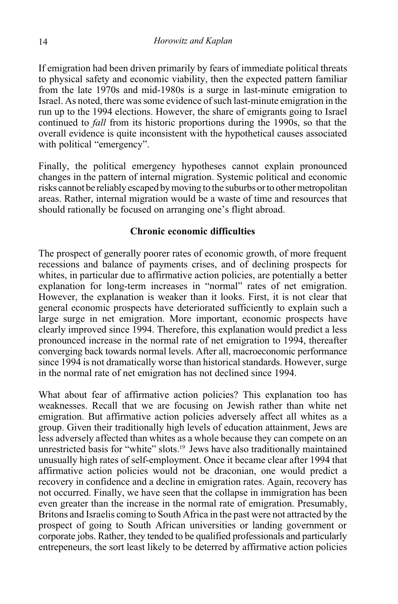If emigration had been driven primarily by fears of immediate political threats to physical safety and economic viability, then the expected pattern familiar from the late 1970s and mid-1980s is a surge in last-minute emigration to Israel. As noted, there was some evidence of such last-minute emigration in the run up to the 1994 elections. However, the share of emigrants going to Israel continued to fall from its historic proportions during the 1990s, so that the overall evidence is quite inconsistent with the hypothetical causes associated with political "emergency".

Finally, the political emergency hypotheses cannot explain pronounced changes in the pattern of internal migration. Systemic political and economic risks cannot be reliably escaped by moving to the suburbs or to other metropolitan areas. Rather, internal migration would be a waste of time and resources that should rationally be focused on arranging one's flight abroad.

## Chronic economic difficulties

The prospect of generally poorer rates of economic growth, of more frequent recessions and balance of payments crises, and of declining prospects for whites, in particular due to affirmative action policies, are potentially a better explanation for long-term increases in "normal" rates of net emigration. However, the explanation is weaker than it looks. First, it is not clear that general economic prospects have deteriorated sufficiently to explain such a large surge in net emigration. More important, economic prospects have clearly improved since 1994. Therefore, this explanation would predict a less pronounced increase in the normal rate of net emigration to 1994, thereafter converging back towards normal levels. After all, macroeconomic performance since 1994 is not dramatically worse than historical standards. However, surge in the normal rate of net emigration has not declined since 1994.

What about fear of affirmative action policies? This explanation too has weaknesses. Recall that we are focusing on Jewish rather than white net emigration. But affirmative action policies adversely affect all whites as a group. Given their traditionally high levels of education attainment, Jews are less adversely affected than whites as a whole because they can compete on an unrestricted basis for "white" slots.<sup>19</sup> Jews have also traditionally maintained unusually high rates of self-employment. Once it became clear after 1994 that affirmative action policies would not be draconian, one would predict a recovery in confidence and a decline in emigration rates. Again, recovery has not occurred. Finally, we have seen that the collapse in immigration has been even greater than the increase in the normal rate of emigration. Presumably, Britons and Israelis coming to South Africa in the past were not attracted by the prospect of going to South African universities or landing government or corporate jobs. Rather, they tended to be qualified professionals and particularly entrepeneurs, the sort least likely to be deterred by affirmative action policies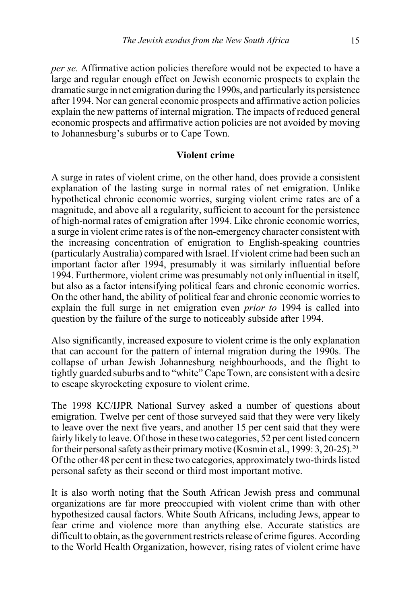per se. Affirmative action policies therefore would not be expected to have a large and regular enough effect on Jewish economic prospects to explain the dramatic surge in net emigration during the 1990s, and particularly its persistence after 1994. Nor can general economic prospects and affirmative action policies explain the new patterns of internal migration. The impacts of reduced general economic prospects and affirmative action policies are not avoided by moving to Johannesburg's suburbs or to Cape Town.

#### Violent crime

A surge in rates of violent crime, on the other hand, does provide a consistent explanation of the lasting surge in normal rates of net emigration. Unlike hypothetical chronic economic worries, surging violent crime rates are of a magnitude, and above all a regularity, sufficient to account for the persistence of high-normal rates of emigration after 1994. Like chronic economic worries, a surge in violent crime rates is of the non-emergency character consistent with the increasing concentration of emigration to English-speaking countries (particularly Australia) compared with Israel. If violent crime had been such an important factor after 1994, presumably it was similarly influential before 1994. Furthermore, violent crime was presumably not only influential in itself, but also as a factor intensifying political fears and chronic economic worries. On the other hand, the ability of political fear and chronic economic worries to explain the full surge in net emigration even prior to 1994 is called into question by the failure of the surge to noticeably subside after 1994.

Also significantly, increased exposure to violent crime is the only explanation that can account for the pattern of internal migration during the 1990s. The collapse of urban Jewish Johannesburg neighbourhoods, and the flight to tightly guarded suburbs and to "white" Cape Town, are consistent with a desire to escape skyrocketing exposure to violent crime.

The 1998 KC/IJPR National Survey asked a number of questions about emigration. Twelve per cent of those surveyed said that they were very likely to leave over the next five years, and another 15 per cent said that they were fairly likely to leave. Of those in these two categories, 52 per cent listed concern for their personal safety as their primary motive (Kosmin et al., 1999: 3, 20-25).20 Of the other 48 per cent in these two categories, approximately two-thirds listed personal safety as their second or third most important motive.

It is also worth noting that the South African Jewish press and communal organizations are far more preoccupied with violent crime than with other hypothesized causal factors. White South Africans, including Jews, appear to fear crime and violence more than anything else. Accurate statistics are difficult to obtain, as the government restricts release of crime figures. According to the World Health Organization, however, rising rates of violent crime have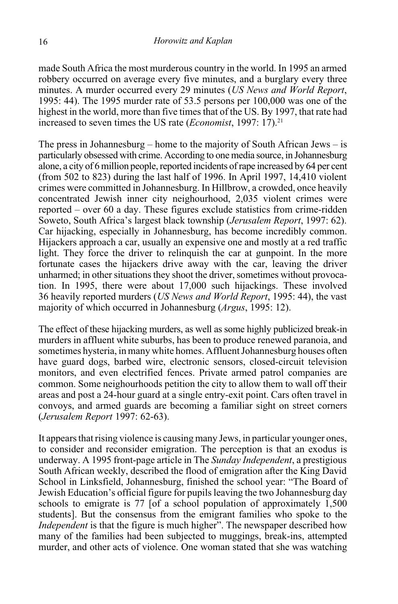made South Africa the most murderous country in the world. In 1995 an armed robbery occurred on average every five minutes, and a burglary every three minutes. A murder occurred every 29 minutes (US News and World Report, 1995: 44). The 1995 murder rate of 53.5 persons per 100,000 was one of the highest in the world, more than five times that of the US. By 1997, that rate had increased to seven times the US rate (*Economist*, 1997: 17).<sup>21</sup>

The press in Johannesburg – home to the majority of South African Jews – is particularly obsessed with crime. According to one media source, in Johannesburg alone, a city of 6 million people, reported incidents of rape increased by 64 per cent (from 502 to 823) during the last half of 1996. In April 1997, 14,410 violent crimes were committed in Johannesburg. In Hillbrow, a crowded, once heavily concentrated Jewish inner city neighourhood, 2,035 violent crimes were reported  $-$  over 60 a day. These figures exclude statistics from crime-ridden Soweto, South Africa's largest black township (Jerusalem Report, 1997: 62). Car hijacking, especially in Johannesburg, has become incredibly common. Hijackers approach a car, usually an expensive one and mostly at a red traffic light. They force the driver to relinquish the car at gunpoint. In the more fortunate cases the hijackers drive away with the car, leaving the driver unharmed; in other situations they shoot the driver, sometimes without provocation. In 1995, there were about 17,000 such hijackings. These involved 36 heavily reported murders (US News and World Report, 1995: 44), the vast majority of which occurred in Johannesburg (Argus, 1995: 12).

The effect of these hijacking murders, as well as some highly publicized break-in murders in affluent white suburbs, has been to produce renewed paranoia, and sometimes hysteria, in many white homes. Affluent Johannesburg houses often have guard dogs, barbed wire, electronic sensors, closed-circuit television monitors, and even electrified fences. Private armed patrol companies are common. Some neighourhoods petition the city to allow them to wall off their areas and post a 24-hour guard at a single entry-exit point. Cars often travel in convoys, and armed guards are becoming a familiar sight on street corners (Jerusalem Report 1997: 62-63).

It appears that rising violence is causing many Jews, in particular younger ones, to consider and reconsider emigration. The perception is that an exodus is underway. A 1995 front-page article in The Sunday Independent, a prestigious South African weekly, described the flood of emigration after the King David School in Linksfield, Johannesburg, finished the school year: "The Board of Jewish Education's official figure for pupils leaving the two Johannesburg day schools to emigrate is 77 [of a school population of approximately 1,500 students]. But the consensus from the emigrant families who spoke to the Independent is that the figure is much higher". The newspaper described how many of the families had been subjected to muggings, break-ins, attempted murder, and other acts of violence. One woman stated that she was watching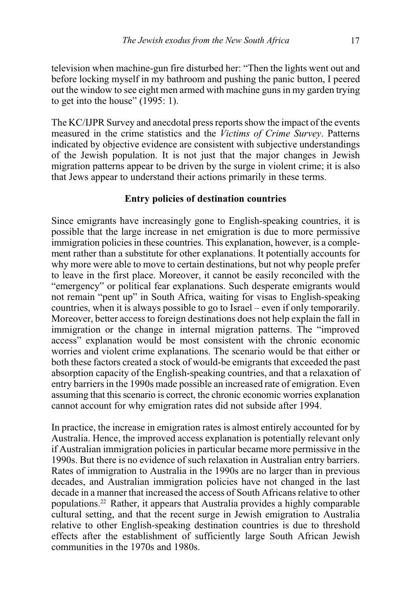television when machine-gun fire disturbed her: Then the lights went out and before locking myself in my bathroom and pushing the panic button, I peered out the window to see eight men armed with machine guns in my garden trying to get into the house"  $(1995: 1)$ .

The KC/IJPR Survey and anecdotal press reports show the impact of the events measured in the crime statistics and the Victims of Crime Survey. Patterns indicated by objective evidence are consistent with subjective understandings of the Jewish population. It is not just that the major changes in Jewish migration patterns appear to be driven by the surge in violent crime; it is also that Jews appear to understand their actions primarily in these terms.

## Entry policies of destination countries

Since emigrants have increasingly gone to English-speaking countries, it is possible that the large increase in net emigration is due to more permissive immigration policies in these countries. This explanation, however, is a complement rather than a substitute for other explanations. It potentially accounts for why more were able to move to certain destinations, but not why people prefer to leave in the first place. Moreover, it cannot be easily reconciled with the "emergency" or political fear explanations. Such desperate emigrants would not remain "pent up" in South Africa, waiting for visas to English-speaking countries, when it is always possible to go to Israel – even if only temporarily. Moreover, better access to foreign destinations does not help explain the fall in immigration or the change in internal migration patterns. The "improved" access" explanation would be most consistent with the chronic economic worries and violent crime explanations. The scenario would be that either or both these factors created a stock of would-be emigrants that exceeded the past absorption capacity of the English-speaking countries, and that a relaxation of entry barriers in the 1990s made possible an increased rate of emigration. Even assuming that this scenario is correct, the chronic economic worries explanation cannot account for why emigration rates did not subside after 1994.

In practice, the increase in emigration rates is almost entirely accounted for by Australia. Hence, the improved access explanation is potentially relevant only if Australian immigration policies in particular became more permissive in the 1990s. But there is no evidence of such relaxation in Australian entry barriers. Rates of immigration to Australia in the 1990s are no larger than in previous decades, and Australian immigration policies have not changed in the last decade in a manner that increased the access of South Africans relative to other populations.22 Rather, it appears that Australia provides a highly comparable cultural setting, and that the recent surge in Jewish emigration to Australia relative to other English-speaking destination countries is due to threshold effects after the establishment of sufficiently large South African Jewish communities in the 1970s and 1980s.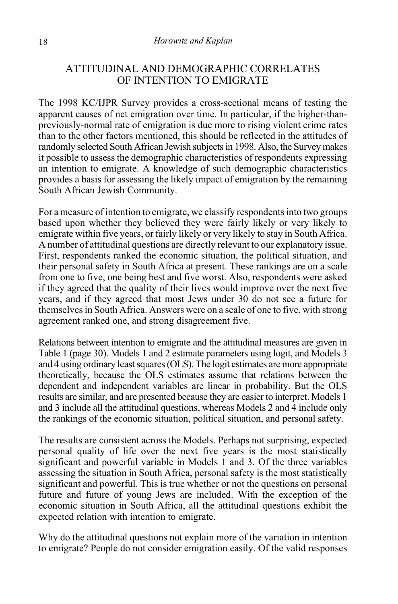# ATTITUDINAL AND DEMOGRAPHIC CORRELATES OF INTENTION TO EMIGRATE

The 1998 KC/IJPR Survey provides a cross-sectional means of testing the apparent causes of net emigration over time. In particular, if the higher-thanpreviously-normal rate of emigration is due more to rising violent crime rates than to the other factors mentioned, this should be reflected in the attitudes of randomly selected South African Jewish subjects in 1998. Also, the Survey makes it possible to assess the demographic characteristics of respondents expressing an intention to emigrate. A knowledge of such demographic characteristics provides a basis for assessing the likely impact of emigration by the remaining South African Jewish Community.

For a measure of intention to emigrate, we classify respondents into two groups based upon whether they believed they were fairly likely or very likely to emigrate within five years, or fairly likely or very likely to stay in South Africa. A number of attitudinal questions are directly relevant to our explanatory issue. First, respondents ranked the economic situation, the political situation, and their personal safety in South Africa at present. These rankings are on a scale from one to five, one being best and five worst. Also, respondents were asked if they agreed that the quality of their lives would improve over the next five years, and if they agreed that most Jews under 30 do not see a future for themselves in South Africa. Answers were on a scale of one to five, with strong agreement ranked one, and strong disagreement five.

Relations between intention to emigrate and the attitudinal measures are given in Table 1 (page 30). Models 1 and 2 estimate parameters using logit, and Models 3 and 4 using ordinary least squares (OLS). The logit estimates are more appropriate theoretically, because the OLS estimates assume that relations between the dependent and independent variables are linear in probability. But the OLS results are similar, and are presented because they are easier to interpret. Models 1 and 3 include all the attitudinal questions, whereas Models 2 and 4 include only the rankings of the economic situation, political situation, and personal safety.

The results are consistent across the Models. Perhaps not surprising, expected personal quality of life over the next five years is the most statistically significant and powerful variable in Models 1 and 3. Of the three variables assessing the situation in South Africa, personal safety is the most statistically significant and powerful. This is true whether or not the questions on personal future and future of young Jews are included. With the exception of the economic situation in South Africa, all the attitudinal questions exhibit the expected relation with intention to emigrate.

Why do the attitudinal questions not explain more of the variation in intention to emigrate? People do not consider emigration easily. Of the valid responses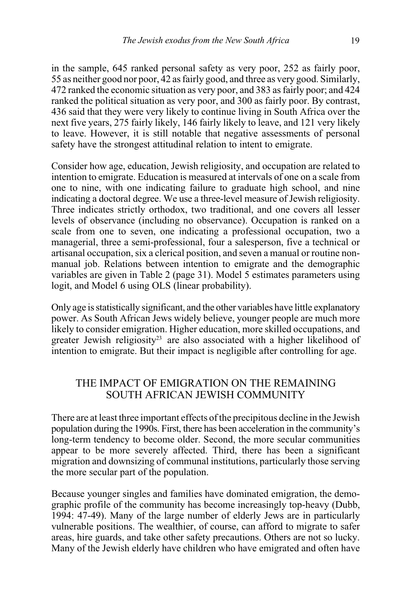in the sample, 645 ranked personal safety as very poor, 252 as fairly poor, 55 as neither good nor poor, 42 as fairly good, and three as very good. Similarly, 472 ranked the economic situation as very poor, and 383 as fairly poor; and 424 ranked the political situation as very poor, and 300 as fairly poor. By contrast, 436 said that they were very likely to continue living in South Africa over the next five years, 275 fairly likely, 146 fairly likely to leave, and 121 very likely to leave. However, it is still notable that negative assessments of personal safety have the strongest attitudinal relation to intent to emigrate.

Consider how age, education, Jewish religiosity, and occupation are related to intention to emigrate. Education is measured at intervals of one on a scale from one to nine, with one indicating failure to graduate high school, and nine indicating a doctoral degree. We use a three-level measure of Jewish religiosity. Three indicates strictly orthodox, two traditional, and one covers all lesser levels of observance (including no observance). Occupation is ranked on a scale from one to seven, one indicating a professional occupation, two a managerial, three a semi-professional, four a salesperson, five a technical or artisanal occupation, six a clerical position, and seven a manual or routine nonmanual job. Relations between intention to emigrate and the demographic variables are given in Table 2 (page 31). Model 5 estimates parameters using logit, and Model 6 using OLS (linear probability).

Only age is statistically significant, and the other variables have little explanatory power. As South African Jews widely believe, younger people are much more likely to consider emigration. Higher education, more skilled occupations, and greater Jewish religiosity<sup>23</sup> are also associated with a higher likelihood of intention to emigrate. But their impact is negligible after controlling for age.

# THE IMPACT OF EMIGRATION ON THE REMAINING SOUTH AFRICAN JEWISH COMMUNITY

There are at least three important effects of the precipitous decline in the Jewish population during the 1990s. First, there has been acceleration in the community's long-term tendency to become older. Second, the more secular communities appear to be more severely affected. Third, there has been a significant migration and downsizing of communal institutions, particularly those serving the more secular part of the population.

Because younger singles and families have dominated emigration, the demographic profile of the community has become increasingly top-heavy (Dubb, 1994: 47-49). Many of the large number of elderly Jews are in particularly vulnerable positions. The wealthier, of course, can afford to migrate to safer areas, hire guards, and take other safety precautions. Others are not so lucky. Many of the Jewish elderly have children who have emigrated and often have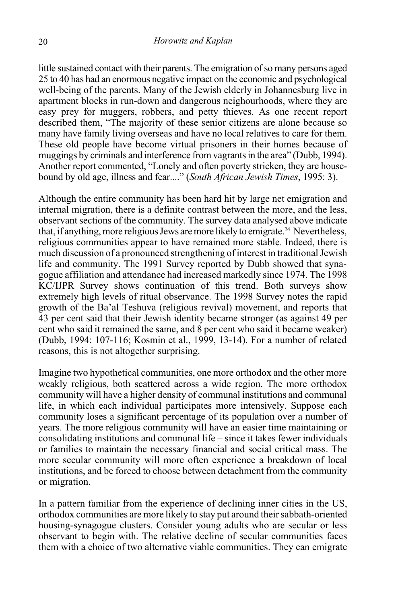little sustained contact with their parents. The emigration of so many persons aged 25 to 40 has had an enormous negative impact on the economic and psychological well-being of the parents. Many of the Jewish elderly in Johannesburg live in apartment blocks in run-down and dangerous neighourhoods, where they are easy prey for muggers, robbers, and petty thieves. As one recent report described them, "The majority of these senior citizens are alone because so many have family living overseas and have no local relatives to care for them. These old people have become virtual prisoners in their homes because of muggings by criminals and interference from vagrants in the area" (Dubb, 1994). Another report commented, "Lonely and often poverty stricken, they are housebound by old age, illness and fear...." (South African Jewish Times, 1995: 3).

Although the entire community has been hard hit by large net emigration and internal migration, there is a definite contrast between the more, and the less, observant sections of the community. The survey data analysed above indicate that, if anything, more religious Jews are more likely to emigrate.<sup>24</sup> Nevertheless, religious communities appear to have remained more stable. Indeed, there is much discussion of a pronounced strengthening of interest in traditional Jewish life and community. The 1991 Survey reported by Dubb showed that synagogue affiliation and attendance had increased markedly since 1974. The 1998 KC/IJPR Survey shows continuation of this trend. Both surveys show extremely high levels of ritual observance. The 1998 Survey notes the rapid growth of the Ba'al Teshuva (religious revival) movement, and reports that 43 per cent said that their Jewish identity became stronger (as against 49 per cent who said it remained the same, and 8 per cent who said it became weaker) (Dubb, 1994: 107-116; Kosmin et al., 1999, 13-14). For a number of related reasons, this is not altogether surprising.

Imagine two hypothetical communities, one more orthodox and the other more weakly religious, both scattered across a wide region. The more orthodox community will have a higher density of communal institutions and communal life, in which each individual participates more intensively. Suppose each community loses a significant percentage of its population over a number of years. The more religious community will have an easier time maintaining or consolidating institutions and communal life  $-$  since it takes fewer individuals or families to maintain the necessary financial and social critical mass. The more secular community will more often experience a breakdown of local institutions, and be forced to choose between detachment from the community or migration.

In a pattern familiar from the experience of declining inner cities in the US, orthodox communities are more likely to stay put around their sabbath-oriented housing-synagogue clusters. Consider young adults who are secular or less observant to begin with. The relative decline of secular communities faces them with a choice of two alternative viable communities. They can emigrate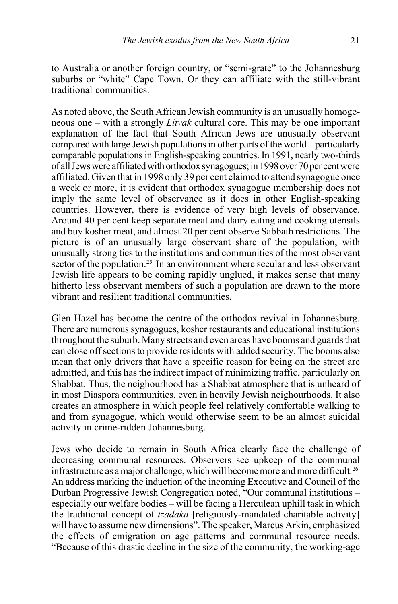to Australia or another foreign country, or "semi-grate" to the Johannesburg suburbs or "white" Cape Town. Or they can affiliate with the still-vibrant traditional communities.

As noted above, the South African Jewish community is an unusually homogeneous one – with a strongly *Litvak* cultural core. This may be one important explanation of the fact that South African Jews are unusually observant compared with large Jewish populations in other parts of the world  $-$  particularly comparable populations in English-speaking countries. In 1991, nearly two-thirds of all Jews were affiliated with orthodox synagogues; in 1998 over 70 per cent were affiliated. Given that in 1998 only 39 per cent claimed to attend synagogue once a week or more, it is evident that orthodox synagogue membership does not imply the same level of observance as it does in other English-speaking countries. However, there is evidence of very high levels of observance. Around 40 per cent keep separate meat and dairy eating and cooking utensils and buy kosher meat, and almost 20 per cent observe Sabbath restrictions. The picture is of an unusually large observant share of the population, with unusually strong ties to the institutions and communities of the most observant sector of the population.<sup>25</sup> In an environment where secular and less observant Jewish life appears to be coming rapidly unglued, it makes sense that many hitherto less observant members of such a population are drawn to the more vibrant and resilient traditional communities.

Glen Hazel has become the centre of the orthodox revival in Johannesburg. There are numerous synagogues, kosher restaurants and educational institutions throughout the suburb. Many streets and even areas have booms and guards that can close off sections to provide residents with added security. The booms also mean that only drivers that have a specific reason for being on the street are admitted, and this has the indirect impact of minimizing traffic, particularly on Shabbat. Thus, the neighourhood has a Shabbat atmosphere that is unheard of in most Diaspora communities, even in heavily Jewish neighourhoods. It also creates an atmosphere in which people feel relatively comfortable walking to and from synagogue, which would otherwise seem to be an almost suicidal activity in crime-ridden Johannesburg.

Jews who decide to remain in South Africa clearly face the challenge of decreasing communal resources. Observers see upkeep of the communal infrastructure as a major challenge, which will become more and more difficult.<sup>26</sup> An address marking the induction of the incoming Executive and Council of the Durban Progressive Jewish Congregation noted, "Our communal institutions – especially our welfare bodies  $-\text{will}$  be facing a Herculean uphill task in which the traditional concept of tzadaka [religiously-mandated charitable activity] will have to assume new dimensions". The speaker, Marcus Arkin, emphasized the effects of emigration on age patterns and communal resource needs. Because of this drastic decline in the size of the community, the working-age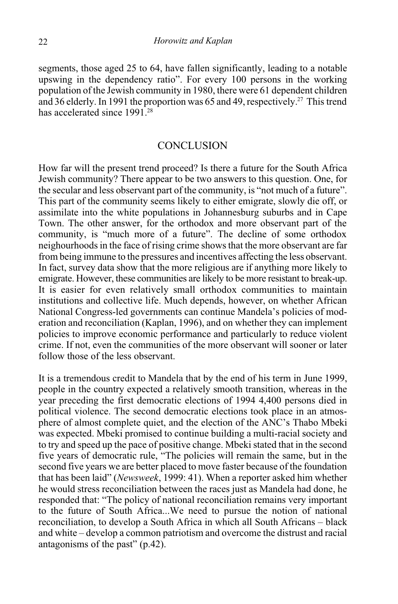segments, those aged 25 to 64, have fallen significantly, leading to a notable upswing in the dependency ratio". For every 100 persons in the working population of the Jewish community in 1980, there were 61 dependent children and 36 elderly. In 1991 the proportion was 65 and 49, respectively.<sup>27</sup> This trend has accelerated since 1991.<sup>28</sup>

#### **CONCLUSION**

How far will the present trend proceed? Is there a future for the South Africa Jewish community? There appear to be two answers to this question. One, for the secular and less observant part of the community, is "not much of a future". This part of the community seems likely to either emigrate, slowly die off, or assimilate into the white populations in Johannesburg suburbs and in Cape Town. The other answer, for the orthodox and more observant part of the community, is "much more of a future". The decline of some orthodox neighourhoods in the face of rising crime shows that the more observant are far from being immune to the pressures and incentives affecting the less observant. In fact, survey data show that the more religious are if anything more likely to emigrate. However, these communities are likely to be more resistant to break-up. It is easier for even relatively small orthodox communities to maintain institutions and collective life. Much depends, however, on whether African National Congress-led governments can continue Mandela's policies of moderation and reconciliation (Kaplan, 1996), and on whether they can implement policies to improve economic performance and particularly to reduce violent crime. If not, even the communities of the more observant will sooner or later follow those of the less observant.

It is a tremendous credit to Mandela that by the end of his term in June 1999, people in the country expected a relatively smooth transition, whereas in the year preceding the first democratic elections of 1994 4,400 persons died in political violence. The second democratic elections took place in an atmosphere of almost complete quiet, and the election of the ANC's Thabo Mbeki was expected. Mbeki promised to continue building a multi-racial society and to try and speed up the pace of positive change. Mbeki stated that in the second five years of democratic rule, "The policies will remain the same, but in the second five years we are better placed to move faster because of the foundation that has been laid" (Newsweek, 1999: 41). When a reporter asked him whether he would stress reconciliation between the races just as Mandela had done, he responded that: "The policy of national reconciliation remains very important to the future of South Africa...We need to pursue the notion of national reconciliation, to develop a South Africa in which all South Africans - black and white – develop a common patriotism and overcome the distrust and racial antagonisms of the past"  $(p.42)$ .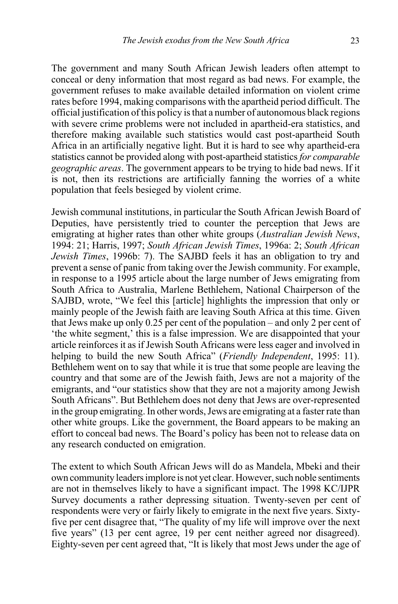The government and many South African Jewish leaders often attempt to conceal or deny information that most regard as bad news. For example, the government refuses to make available detailed information on violent crime rates before 1994, making comparisons with the apartheid period difficult. The official justification of this policy is that a number of autonomous black regions with severe crime problems were not included in apartheid-era statistics, and therefore making available such statistics would cast post-apartheid South Africa in an artificially negative light. But it is hard to see why apartheid-era statistics cannot be provided along with post-apartheid statistics for comparable geographic areas. The government appears to be trying to hide bad news. If it is not, then its restrictions are artificially fanning the worries of a white population that feels besieged by violent crime.

Jewish communal institutions, in particular the South African Jewish Board of Deputies, have persistently tried to counter the perception that Jews are emigrating at higher rates than other white groups (*Australian Jewish News*, 1994: 21; Harris, 1997; South African Jewish Times, 1996a: 2; South African Jewish Times, 1996b: 7). The SAJBD feels it has an obligation to try and prevent a sense of panic from taking over the Jewish community. For example, in response to a 1995 article about the large number of Jews emigrating from South Africa to Australia, Marlene Bethlehem, National Chairperson of the SAJBD, wrote, We feel this [article] highlights the impression that only or mainly people of the Jewish faith are leaving South Africa at this time. Given that Jews make up only  $0.25$  per cent of the population – and only 2 per cent of the white segment,' this is a false impression. We are disappointed that your article reinforces it as if Jewish South Africans were less eager and involved in helping to build the new South Africa" (Friendly Independent, 1995: 11). Bethlehem went on to say that while it is true that some people are leaving the country and that some are of the Jewish faith, Jews are not a majority of the emigrants, and "our statistics show that they are not a majority among Jewish South Africans". But Bethlehem does not deny that Jews are over-represented in the group emigrating. In other words, Jews are emigrating at a faster rate than other white groups. Like the government, the Board appears to be making an effort to conceal bad news. The Board's policy has been not to release data on any research conducted on emigration.

The extent to which South African Jews will do as Mandela, Mbeki and their own community leaders implore is not yet clear. However, such noble sentiments are not in themselves likely to have a significant impact. The 1998 KC/IJPR Survey documents a rather depressing situation. Twenty-seven per cent of respondents were very or fairly likely to emigrate in the next five years. Sixtyfive per cent disagree that, "The quality of my life will improve over the next five years" (13 per cent agree, 19 per cent neither agreed nor disagreed). Eighty-seven per cent agreed that, "It is likely that most Jews under the age of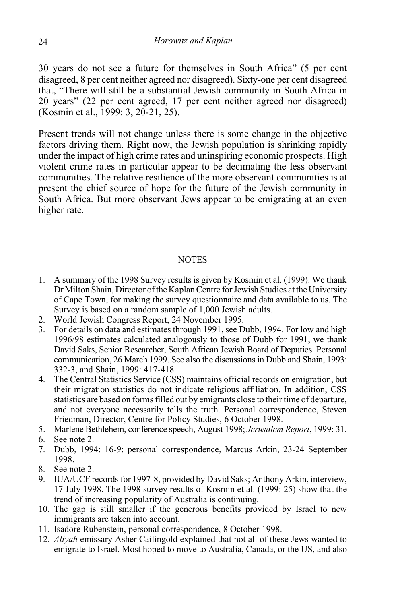30 years do not see a future for themselves in South Africa" (5 per cent disagreed, 8 per cent neither agreed nor disagreed). Sixty-one per cent disagreed that, "There will still be a substantial Jewish community in South Africa in 20 years" (22 per cent agreed, 17 per cent neither agreed nor disagreed) (Kosmin et al., 1999: 3, 20-21, 25).

Present trends will not change unless there is some change in the objective factors driving them. Right now, the Jewish population is shrinking rapidly under the impact of high crime rates and uninspiring economic prospects. High violent crime rates in particular appear to be decimating the less observant communities. The relative resilience of the more observant communities is at present the chief source of hope for the future of the Jewish community in South Africa. But more observant Jews appear to be emigrating at an even higher rate.

#### **NOTES**

- 1. A summary of the 1998 Survey results is given by Kosmin et al. (1999). We thank Dr Milton Shain, Director of the Kaplan Centre for Jewish Studies at the University of Cape Town, for making the survey questionnaire and data available to us. The Survey is based on a random sample of 1,000 Jewish adults.
- 2. World Jewish Congress Report, 24 November 1995.
- 3. For details on data and estimates through 1991, see Dubb, 1994. For low and high 1996/98 estimates calculated analogously to those of Dubb for 1991, we thank David Saks, Senior Researcher, South African Jewish Board of Deputies. Personal communication, 26 March 1999. See also the discussions in Dubb and Shain, 1993: 332-3, and Shain, 1999: 417-418.
- 4. The Central Statistics Service (CSS) maintains official records on emigration, but their migration statistics do not indicate religious affiliation. In addition, CSS statistics are based on forms filled out by emigrants close to their time of departure, and not everyone necessarily tells the truth. Personal correspondence, Steven Friedman, Director, Centre for Policy Studies, 6 October 1998.
- 5. Marlene Bethlehem, conference speech, August 1998; Jerusalem Report, 1999: 31.
- 6. See note 2.
- 7. Dubb, 1994: 16-9; personal correspondence, Marcus Arkin, 23-24 September 1998.
- 8. See note 2.
- 9. IUA/UCF records for 1997-8, provided by David Saks; Anthony Arkin, interview, 17 July 1998. The 1998 survey results of Kosmin et al. (1999: 25) show that the trend of increasing popularity of Australia is continuing.
- 10. The gap is still smaller if the generous benefits provided by Israel to new immigrants are taken into account.
- 11. Isadore Rubenstein, personal correspondence, 8 October 1998.
- 12. Aliyah emissary Asher Cailingold explained that not all of these Jews wanted to emigrate to Israel. Most hoped to move to Australia, Canada, or the US, and also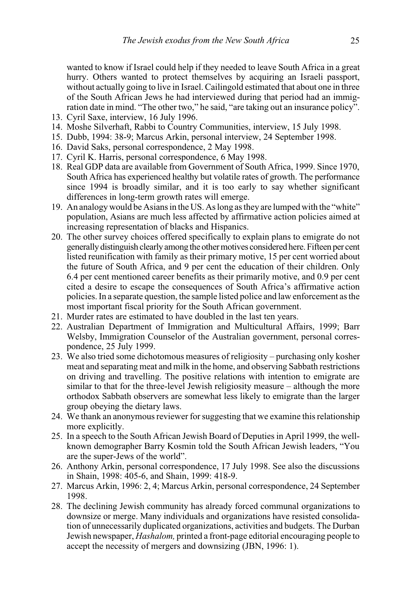wanted to know if Israel could help if they needed to leave South Africa in a great hurry. Others wanted to protect themselves by acquiring an Israeli passport, without actually going to live in Israel. Cailingold estimated that about one in three of the South African Jews he had interviewed during that period had an immigration date in mind. "The other two," he said, "are taking out an insurance policy".

- 13. Cyril Saxe, interview, 16 July 1996.
- 14. Moshe Silverhaft, Rabbi to Country Communities, interview, 15 July 1998.
- 15. Dubb, 1994: 38-9; Marcus Arkin, personal interview, 24 September 1998.
- 16. David Saks, personal correspondence, 2 May 1998.
- 17. Cyril K. Harris, personal correspondence, 6 May 1998.
- 18. Real GDP data are available from Government of South Africa, 1999. Since 1970, South Africa has experienced healthy but volatile rates of growth. The performance since 1994 is broadly similar, and it is too early to say whether significant differences in long-term growth rates will emerge.
- 19. An analogy would be Asians in the US. As long as they are lumped with the "white" population, Asians are much less affected by affirmative action policies aimed at increasing representation of blacks and Hispanics.
- 20. The other survey choices offered specifically to explain plans to emigrate do not generally distinguish clearly among the other motives considered here. Fifteen per cent listed reunification with family as their primary motive, 15 per cent worried about the future of South Africa, and 9 per cent the education of their children. Only 6.4 per cent mentioned career benefits as their primarily motive, and 0.9 per cent cited a desire to escape the consequences of South Africa's affirmative action policies. In a separate question, the sample listed police and law enforcement as the most important fiscal priority for the South African government.
- 21. Murder rates are estimated to have doubled in the last ten years.
- 22. Australian Department of Immigration and Multicultural Affairs, 1999; Barr Welsby, Immigration Counselor of the Australian government, personal correspondence, 25 July 1999.
- 23. We also tried some dichotomous measures of religiosity purchasing only kosher meat and separating meat and milk in the home, and observing Sabbath restrictions on driving and travelling. The positive relations with intention to emigrate are similar to that for the three-level Jewish religiosity measure – although the more orthodox Sabbath observers are somewhat less likely to emigrate than the larger group obeying the dietary laws.
- 24. We thank an anonymous reviewer for suggesting that we examine this relationship more explicitly.
- 25. In a speech to the South African Jewish Board of Deputies in April 1999, the wellknown demographer Barry Kosmin told the South African Jewish leaders, You are the super-Jews of the world".
- 26. Anthony Arkin, personal correspondence, 17 July 1998. See also the discussions in Shain, 1998: 405-6, and Shain, 1999: 418-9.
- 27. Marcus Arkin, 1996: 2, 4; Marcus Arkin, personal correspondence, 24 September 1998.
- 28. The declining Jewish community has already forced communal organizations to downsize or merge. Many individuals and organizations have resisted consolidation of unnecessarily duplicated organizations, activities and budgets. The Durban Jewish newspaper, Hashalom, printed a front-page editorial encouraging people to accept the necessity of mergers and downsizing (JBN, 1996: 1).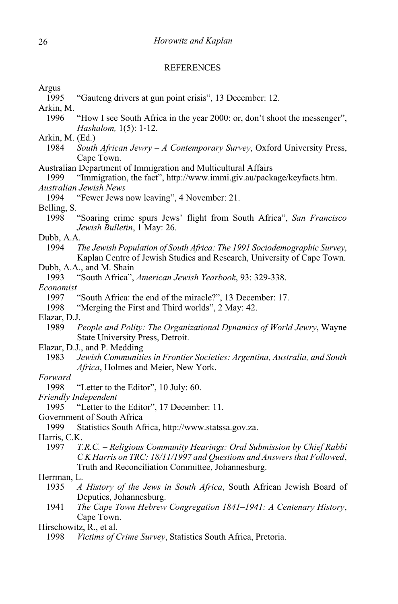#### REFERENCES

Argus

1995 Gauteng drivers at gun point crisis", 13 December: 12.

Arkin, M.

- 1996 "How I see South Africa in the year 2000: or, don't shoot the messenger", Hashalom, 1(5): 1-12.
- Arkin, M. (Ed.)
	- 1984 South African Jewry  $-A$  Contemporary Survey, Oxford University Press, Cape Town.
- Australian Department of Immigration and Multicultural Affairs

1999 "Immigration, the fact", http://www.immi.giv.au/package/keyfacts.htm. Australian Jewish News

1994 "Fewer Jews now leaving", 4 November: 21.

Belling, S.

1998 "Soaring crime spurs Jews' flight from South Africa", San Francisco Jewish Bulletin, 1 May: 26.

Dubb, A.A.

1994 The Jewish Population of South Africa: The 1991 Sociodemographic Survey, Kaplan Centre of Jewish Studies and Research, University of Cape Town.

Dubb, A.A., and M. Shain<br>1993 "South Africa".

"South Africa", American Jewish Yearbook, 93: 329-338.

Economist

1997 "South Africa: the end of the miracle?", 13 December: 17.

1998 "Merging the First and Third worlds", 2 May: 42.

Elazar, D.J.<br>1989 *F* 

- People and Polity: The Organizational Dynamics of World Jewry, Wayne State University Press, Detroit.
- Elazar, D.J., and P. Medding
	- 1983 Jewish Communities in Frontier Societies: Argentina, Australia, and South Africa, Holmes and Meier, New York.

Forward

1998 "Letter to the Editor", 10 July: 60.

Friendly Independent

1995 "Letter to the Editor", 17 December: 11.

Government of South Africa

1999 Statistics South Africa, http://www.statssa.gov.za.

Harris, C.K.

1997 T.R.C. Religious Community Hearings: Oral Submission by Chief Rabbi C K Harris on TRC: 18/11/1997 and Questions and Answers that Followed, Truth and Reconciliation Committee, Johannesburg.

Herrman, L.

- 1935 A History of the Jews in South Africa, South African Jewish Board of Deputies, Johannesburg.
- 1941 The Cape Town Hebrew Congregation 1841–1941: A Centenary History, Cape Town.

Hirschowitz, R., et al.

<sup>1998</sup> Victims of Crime Survey, Statistics South Africa, Pretoria.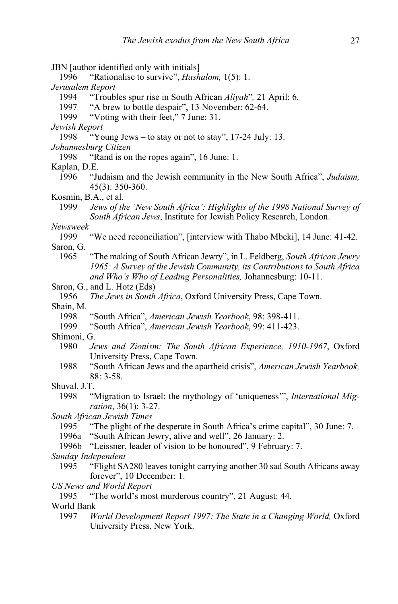- JBN [author identified only with initials]
	- 1996 "Rationalise to survive", *Hashalom*, 1(5): 1.
- Jerusalem Report
	- 1994 "Troubles spur rise in South African Aliyah", 21 April: 6.
	- 1997 "A brew to bottle despair", 13 November: 62-64.
	- 1999 "Voting with their feet," 7 June: 31.
- Jewish Report
- 1998 "Young Jews to stay or not to stay", 17-24 July: 13.

Johannesburg Citizen

1998 "Rand is on the ropes again", 16 June: 1.

Kaplan, D.E.

1996 "Judaism and the Jewish community in the New South Africa", Judaism, 45(3): 350-360.

Kosmin, B.A., et al.

1999 Jews of the 'New South Africa': Highlights of the 1998 National Survey of South African Jews, Institute for Jewish Policy Research, London.

Newsweek<br>1999

- "We need reconciliation", [interview with Thabo Mbeki], 14 June: 41-42. Saron, G.
	- 1965 "The making of South African Jewry", in L. Feldberg, South African Jewry 1965: A Survey of the Jewish Community, its Contributions to South Africa and Who's Who of Leading Personalities, Johannesburg: 10-11.
- Saron, G., and L. Hotz (Eds)
- 1956 The Jews in South Africa, Oxford University Press, Cape Town.

Shain, M.

- 1998 "South Africa", American Jewish Yearbook, 98: 398-411.
- 1999 "South Africa", American Jewish Yearbook, 99: 411-423.

Shimoni, G.

- 1980 Jews and Zionism: The South African Experience, 1910-1967, Oxford University Press, Cape Town.
- 1988 "South African Jews and the apartheid crisis", American Jewish Yearbook, 88: 3-58.

Shuval, J.T.

1998 "Migration to Israel: the mythology of 'uniqueness'", *International Mig*ration, 36(1): 3-27.

South African Jewish Times

1995 "The plight of the desperate in South Africa's crime capital", 30 June: 7.

1996a "South African Jewry, alive and well", 26 January: 2.

1996b "Leissner, leader of vision to be honoured", 9 February: 7.

Sunday Independent

- 1995 "Flight SA280 leaves tonight carrying another 30 sad South Africans away forever", 10 December: 1.
- US News and World Report
- 1995 "The world's most murderous country", 21 August: 44.

World Bank

1997 World Development Report 1997: The State in a Changing World, Oxford University Press, New York.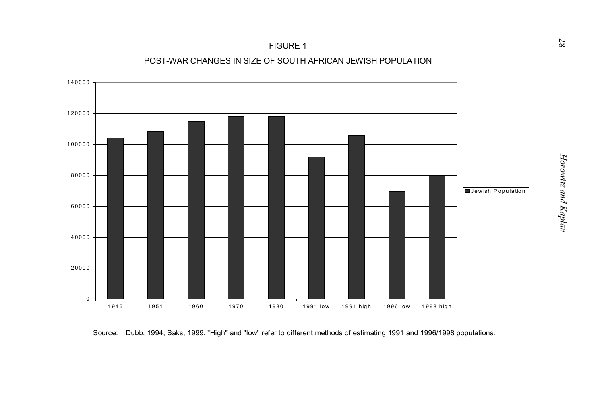# FIGURE 1





Source: Dubb, 1994; Saks, 1999. "High" and "low" refer to different methods of estimating 1991 and 1996/1998 populations.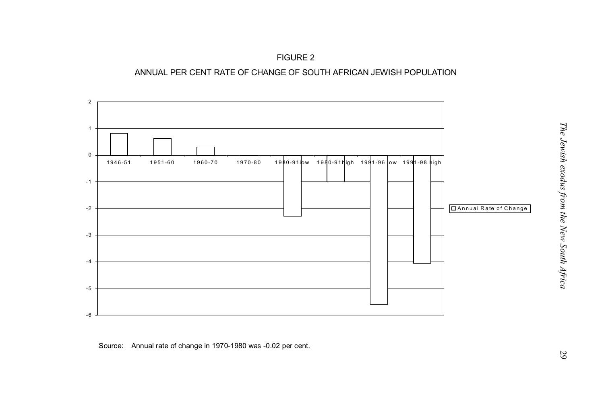# FIGURE 2

#### ANNUAL PER CENT RATE OF CHANGE OF SOUTH AFRICAN JEWISH POPULATION



#### Source: Annual rate of change in 1970-1980 was -0.02 per cent.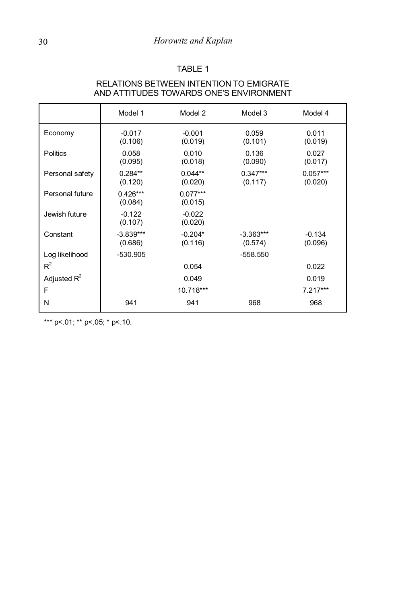# TABLE 1

|                 | Model 1                | Model 2               | Model 3                | Model 4               |
|-----------------|------------------------|-----------------------|------------------------|-----------------------|
| Economy         | $-0.017$<br>(0.106)    | $-0.001$<br>(0.019)   | 0.059<br>(0.101)       | 0.011<br>(0.019)      |
| <b>Politics</b> | 0.058<br>(0.095)       | 0.010<br>(0.018)      | 0.136<br>(0.090)       | 0.027<br>(0.017)      |
| Personal safety | $0.284**$<br>(0.120)   | $0.044**$<br>(0.020)  | $0.347***$<br>(0.117)  | $0.057***$<br>(0.020) |
| Personal future | $0.426***$<br>(0.084)  | $0.077***$<br>(0.015) |                        |                       |
| Jewish future   | $-0.122$<br>(0.107)    | $-0.022$<br>(0.020)   |                        |                       |
| Constant        | $-3.839***$<br>(0.686) | $-0.204*$<br>(0.116)  | $-3.363***$<br>(0.574) | $-0.134$<br>(0.096)   |
| Log likelihood  | $-530.905$             |                       | $-558.550$             |                       |
| $R^2$           |                        | 0.054                 |                        | 0.022                 |
| Adjusted $R^2$  |                        | 0.049                 |                        | 0.019                 |
| F               |                        | 10.718***             |                        | $7.217***$            |
| N               | 941                    | 941                   | 968                    | 968                   |

## RELATIONS BETWEEN INTENTION TO EMIGRATE AND ATTITUDES TOWARDS ONE'S ENVIRONMENT

\*\*\* p <.01; \*\* p <.05; \* p <.10.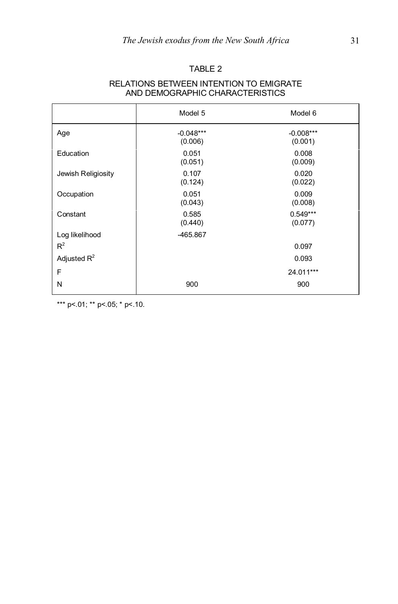# TABLE 2

| RELATIONS BETWEEN INTENTION TO EMIGRATE |
|-----------------------------------------|
| AND DEMOGRAPHIC CHARACTERISTICS         |

|                    | Model 5                | Model 6                |
|--------------------|------------------------|------------------------|
| Age                | $-0.048***$<br>(0.006) | $-0.008***$<br>(0.001) |
| Education          | 0.051<br>(0.051)       | 0.008<br>(0.009)       |
| Jewish Religiosity | 0.107<br>(0.124)       | 0.020<br>(0.022)       |
| Occupation         | 0.051<br>(0.043)       | 0.009<br>(0.008)       |
| Constant           | 0.585<br>(0.440)       | $0.549***$<br>(0.077)  |
| Log likelihood     | -465.867               |                        |
| $R^2$              |                        | 0.097                  |
| Adjusted $R^2$     |                        | 0.093                  |
| F                  |                        | 24.011***              |
| N                  | 900                    | 900                    |

\*\*\* p <.01; \*\* p <.05; \* p <.10.